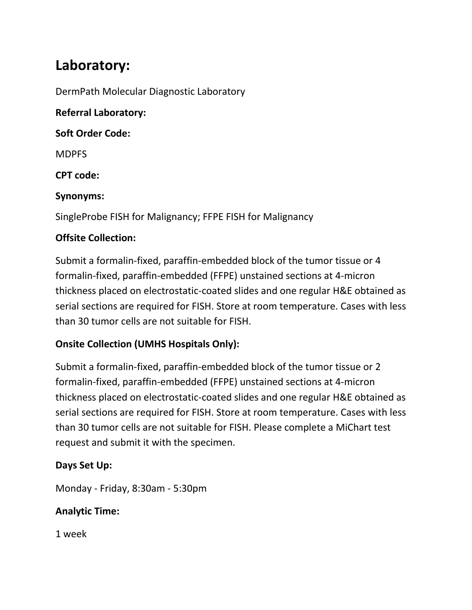# **Laboratory:**

DermPath Molecular Diagnostic Laboratory

**Referral Laboratory:**

**Soft Order Code:** 

MDPFS

**CPT code:**

#### **Synonyms:**

SingleProbe FISH for Malignancy; FFPE FISH for Malignancy

### **Offsite Collection:**

Submit a formalin-fixed, paraffin-embedded block of the tumor tissue or 4 formalin-fixed, paraffin-embedded (FFPE) unstained sections at 4-micron thickness placed on electrostatic-coated slides and one regular H&E obtained as serial sections are required for FISH. Store at room temperature. Cases with less than 30 tumor cells are not suitable for FISH.

## **Onsite Collection (UMHS Hospitals Only):**

Submit a formalin-fixed, paraffin-embedded block of the tumor tissue or 2 formalin-fixed, paraffin-embedded (FFPE) unstained sections at 4-micron thickness placed on electrostatic-coated slides and one regular H&E obtained as serial sections are required for FISH. Store at room temperature. Cases with less than 30 tumor cells are not suitable for FISH. Please complete a MiChart test request and submit it with the specimen.

### **Days Set Up:**

Monday - Friday, 8:30am - 5:30pm

### **Analytic Time:**

1 week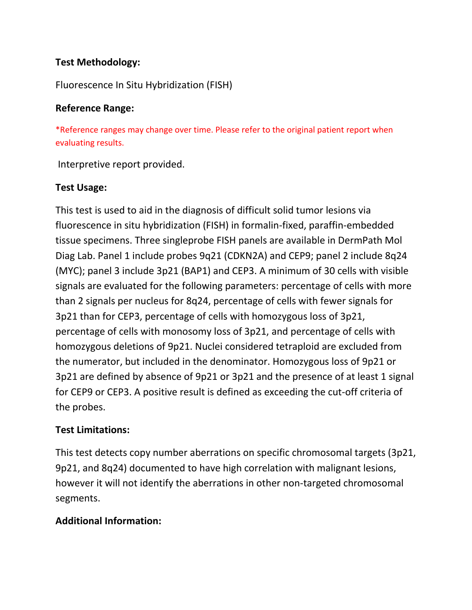### **Test Methodology:**

Fluorescence In Situ Hybridization (FISH)

#### **Reference Range:**

\*Reference ranges may change over time. Please refer to the original patient report when evaluating results.

Interpretive report provided.

### **Test Usage:**

This test is used to aid in the diagnosis of difficult solid tumor lesions via fluorescence in situ hybridization (FISH) in formalin-fixed, paraffin-embedded tissue specimens. Three singleprobe FISH panels are available in DermPath Mol Diag Lab. Panel 1 include probes 9q21 (CDKN2A) and CEP9; panel 2 include 8q24 (MYC); panel 3 include 3p21 (BAP1) and CEP3. A minimum of 30 cells with visible signals are evaluated for the following parameters: percentage of cells with more than 2 signals per nucleus for 8q24, percentage of cells with fewer signals for 3p21 than for CEP3, percentage of cells with homozygous loss of 3p21, percentage of cells with monosomy loss of 3p21, and percentage of cells with homozygous deletions of 9p21. Nuclei considered tetraploid are excluded from the numerator, but included in the denominator. Homozygous loss of 9p21 or 3p21 are defined by absence of 9p21 or 3p21 and the presence of at least 1 signal for CEP9 or CEP3. A positive result is defined as exceeding the cut-off criteria of the probes.

### **Test Limitations:**

This test detects copy number aberrations on specific chromosomal targets (3p21, 9p21, and 8q24) documented to have high correlation with malignant lesions, however it will not identify the aberrations in other non-targeted chromosomal segments.

### **Additional Information:**